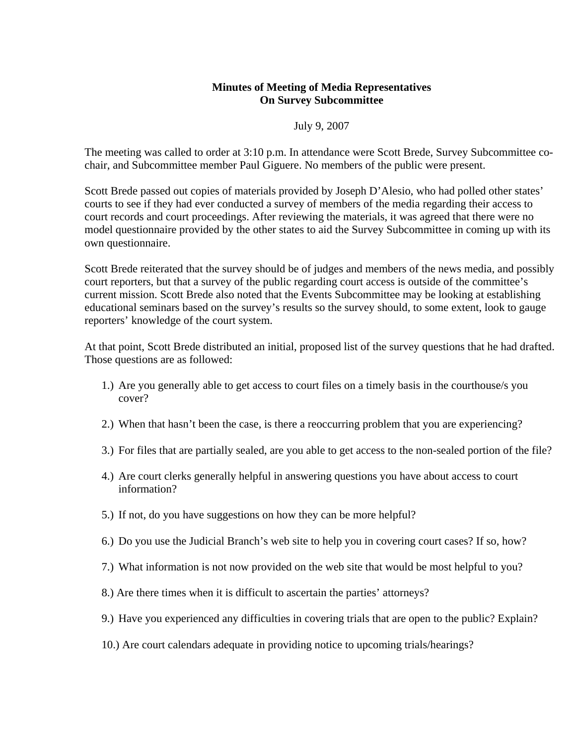## **Minutes of Meeting of Media Representatives On Survey Subcommittee**

July 9, 2007

The meeting was called to order at 3:10 p.m. In attendance were Scott Brede, Survey Subcommittee cochair, and Subcommittee member Paul Giguere. No members of the public were present.

Scott Brede passed out copies of materials provided by Joseph D'Alesio, who had polled other states' courts to see if they had ever conducted a survey of members of the media regarding their access to court records and court proceedings. After reviewing the materials, it was agreed that there were no model questionnaire provided by the other states to aid the Survey Subcommittee in coming up with its own questionnaire.

Scott Brede reiterated that the survey should be of judges and members of the news media, and possibly court reporters, but that a survey of the public regarding court access is outside of the committee's current mission. Scott Brede also noted that the Events Subcommittee may be looking at establishing educational seminars based on the survey's results so the survey should, to some extent, look to gauge reporters' knowledge of the court system.

At that point, Scott Brede distributed an initial, proposed list of the survey questions that he had drafted. Those questions are as followed:

- 1.) Are you generally able to get access to court files on a timely basis in the courthouse/s you cover?
- 2.) When that hasn't been the case, is there a reoccurring problem that you are experiencing?
- 3.) For files that are partially sealed, are you able to get access to the non-sealed portion of the file?
- 4.) Are court clerks generally helpful in answering questions you have about access to court information?
- 5.) If not, do you have suggestions on how they can be more helpful?
- 6.) Do you use the Judicial Branch's web site to help you in covering court cases? If so, how?
- 7.) What information is not now provided on the web site that would be most helpful to you?
- 8.) Are there times when it is difficult to ascertain the parties' attorneys?
- 9.) Have you experienced any difficulties in covering trials that are open to the public? Explain?
- 10.) Are court calendars adequate in providing notice to upcoming trials/hearings?